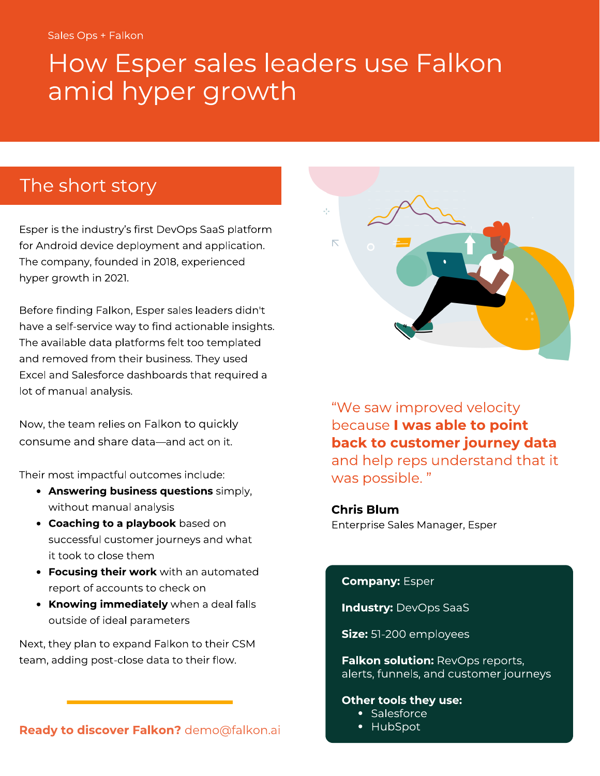# amid hyper growth amid hyper growth growth and the same

## The short story

Esper is the industry's first DevOps SaaS platform The company, founded in 2018, experienced hyper growth in 2021. hyper growth in 2021.

 $\overline{a}$ Before finding Falkon, Esper sales leaders didn't have a self-service way to find actionable insights.<br>The available data platforms felt too templated and removed from their business. They used Excel and Salesforce dashboards that required a lot of manual analysis. lot of manual analysis.

Now, the team relies on Falkon to quickly

Their most impactful outcomes include:<br>• **Answering business questions** simply,

- without manual analysis
- **Coaching to a playbook** based on successful customer journeys and what it took to close them
- **Focusing their work** with an automated report of accounts to check on
- **Knowing immediately** when a deal falls outside of ideal parameters outside of ideal parameters

Next, they plan to expand Falkon to their CSM<br>team, adding post-close data to their flow. team, adding post-close data to their flow.

Ready to discover Falkon? demo@falkon.ai



"We saw improved velocity<br>because **I was able to point** back to customer journey data and help reps understand that it was possible." was possibilität in 1970.<br>Tallinna

Chris Blum Enterprise Sales Manager, Esper

### **Company: Esper**

**Industry: DevOps SaaS** 

Size: 51-200 employees

Falkon solution: Revolution: Revolution: Revolution: Revolution: Revolution: Revolution: Revolution: Revolutio

**Other tools they use:**<br>• Salesforce

- 
- $\bullet$  HubSpot